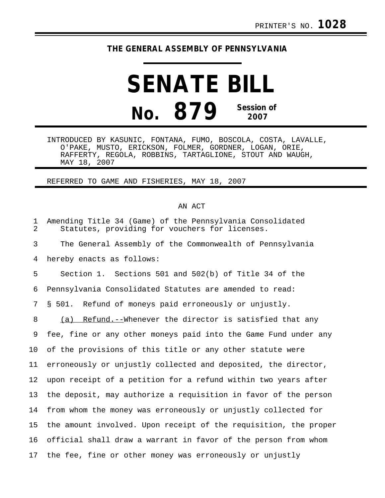## **THE GENERAL ASSEMBLY OF PENNSYLVANIA**

## **SENATE BILL No. 879 Session of 2007**

INTRODUCED BY KASUNIC, FONTANA, FUMO, BOSCOLA, COSTA, LAVALLE, O'PAKE, MUSTO, ERICKSON, FOLMER, GORDNER, LOGAN, ORIE, RAFFERTY, REGOLA, ROBBINS, TARTAGLIONE, STOUT AND WAUGH, MAY 18, 2007

REFERRED TO GAME AND FISHERIES, MAY 18, 2007

## AN ACT

| $\mathbf 1$<br>$\overline{2}$ | Amending Title 34 (Game) of the Pennsylvania Consolidated<br>Statutes, providing for vouchers for licenses. |
|-------------------------------|-------------------------------------------------------------------------------------------------------------|
| 3                             | The General Assembly of the Commonwealth of Pennsylvania                                                    |
| 4                             | hereby enacts as follows:                                                                                   |
| 5                             | Section 1. Sections 501 and 502(b) of Title 34 of the                                                       |
| 6                             | Pennsylvania Consolidated Statutes are amended to read:                                                     |
| 7                             | § 501. Refund of moneys paid erroneously or unjustly.                                                       |
| 8                             | (a) Refund.--Whenever the director is satisfied that any                                                    |
| 9                             | fee, fine or any other moneys paid into the Game Fund under any                                             |
| 10                            | of the provisions of this title or any other statute were                                                   |
| 11                            | erroneously or unjustly collected and deposited, the director,                                              |
| 12                            | upon receipt of a petition for a refund within two years after                                              |
| 13                            | the deposit, may authorize a requisition in favor of the person                                             |
| 14                            | from whom the money was erroneously or unjustly collected for                                               |
| 15                            | the amount involved. Upon receipt of the requisition, the proper                                            |
| 16                            | official shall draw a warrant in favor of the person from whom                                              |
| 17                            | the fee, fine or other money was erroneously or unjustly                                                    |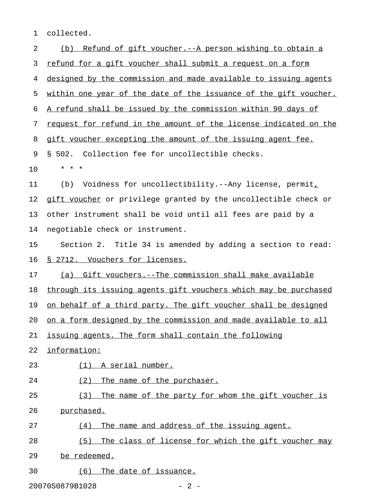1 collected.

| 2  | Refund of gift voucher. -- A person wishing to obtain a<br>(b)   |
|----|------------------------------------------------------------------|
| 3  | refund for a gift voucher shall submit a request on a form       |
| 4  | designed by the commission and made available to issuing agents  |
| 5  | within one year of the date of the issuance of the gift voucher. |
| 6  | A refund shall be issued by the commission within 90 days of     |
| 7  | request for refund in the amount of the license indicated on the |
| 8  | gift voucher excepting the amount of the issuing agent fee.      |
| 9  | § 502. Collection fee for uncollectible checks.                  |
| 10 | * * *                                                            |
| 11 | Voidness for uncollectibility.--Any license, permit,<br>(b)      |
| 12 | gift voucher or privilege granted by the uncollectible check or  |
| 13 | other instrument shall be void until all fees are paid by a      |
| 14 | negotiable check or instrument.                                  |
| 15 | Section 2. Title 34 is amended by adding a section to read:      |
| 16 | <u>§ 2712. Vouchers for licenses.</u>                            |
| 17 | (a) Gift vouchers.--The commission shall make available          |
| 18 | through its issuing agents gift vouchers which may be purchased  |
| 19 | on behalf of a third party. The gift voucher shall be designed   |
| 20 | on a form designed by the commission and made available to all   |
| 21 | issuing agents. The form shall contain the following             |
| 22 | information:                                                     |
| 23 | $(1)$ A serial number.                                           |
| 24 | (2)<br>The name of the purchaser.                                |
| 25 | The name of the party for whom the gift voucher is<br>(3)        |
| 26 | purchased.                                                       |
| 27 | The name and address of the issuing agent.<br>(4)                |
| 28 | (5)<br>The class of license for which the gift voucher may       |
| 29 | be redeemed.                                                     |
| 30 | The date of issuance.<br>(6)                                     |
|    |                                                                  |

20070S0879B1028 - 2 -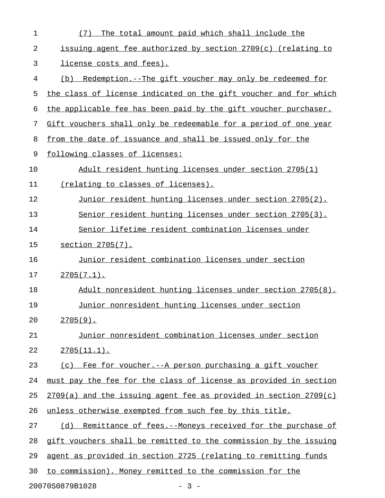| $\mathbf{1}$ | The total amount paid which shall include the<br>(7)             |
|--------------|------------------------------------------------------------------|
| 2            | issuing agent fee authorized by section 2709(c) (relating to     |
| 3            | license costs and fees).                                         |
| 4            | Redemption.--The gift voucher may only be redeemed for<br>(b)    |
| 5            | the class of license indicated on the gift voucher and for which |
| 6            | the applicable fee has been paid by the gift voucher purchaser.  |
| 7            | Gift vouchers shall only be redeemable for a period of one year  |
| 8            | from the date of issuance and shall be issued only for the       |
| 9            | following classes of licenses:                                   |
| 10           | Adult resident hunting licenses under section 2705(1)            |
| 11           | (relating to classes of licenses).                               |
| 12           | Junior resident hunting licenses under section 2705(2).          |
| 13           | Senior resident hunting licenses under section 2705(3).          |
| 14           | Senior lifetime resident combination licenses under              |
| 15           | section 2705(7).                                                 |
| 16           | Junior resident combination licenses under section               |
| 17           | $2705(7.1)$ .                                                    |
| 18           | Adult nonresident hunting licenses under section 2705(8).        |
| 19           | Junior nonresident hunting licenses under section                |
| 20           | $2705(9)$ .                                                      |
| 21           | Junior nonresident combination licenses under section            |
| 22           | $2705(11.1)$ .                                                   |
| 23           | (c) Fee for voucher. -- A person purchasing a gift voucher       |
| 24           | must pay the fee for the class of license as provided in section |
| 25           | 2709(a) and the issuing agent fee as provided in section 2709(c) |
| 26           | unless otherwise exempted from such fee by this title.           |
| 27           | (d) Remittance of fees.--Moneys received for the purchase of     |
| 28           | gift vouchers shall be remitted to the commission by the issuing |
| 29           | agent as provided in section 2725 (relating to remitting funds   |
| 30           | to commission). Money remitted to the commission for the         |
|              | 20070S0879B1028<br>$-3 -$                                        |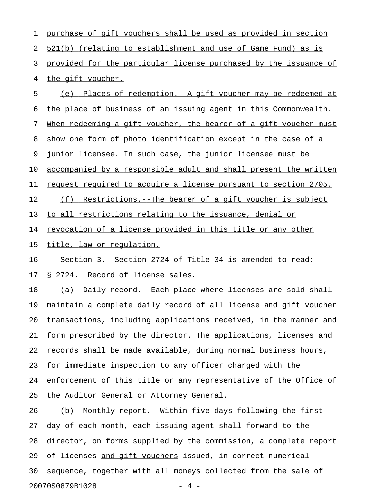1 purchase of gift vouchers shall be used as provided in section 2 521(b) (relating to establishment and use of Game Fund) as is 3 provided for the particular license purchased by the issuance of 4 the gift voucher. 5 (e) Places of redemption.--A gift voucher may be redeemed at

6 the place of business of an issuing agent in this Commonwealth.

7 When redeeming a gift voucher, the bearer of a gift voucher must

8 show one form of photo identification except in the case of a

9 junior licensee. In such case, the junior licensee must be

10 <u>accompanied by a responsible adult and shall present the written</u>

11 request required to acquire a license pursuant to section 2705.

12 (f) Restrictions.--The bearer of a gift voucher is subject

13 to all restrictions relating to the issuance, denial or

14 revocation of a license provided in this title or any other

15 title, law or requlation.

16 Section 3. Section 2724 of Title 34 is amended to read: 17 § 2724. Record of license sales.

18 (a) Daily record.--Each place where licenses are sold shall 19 maintain a complete daily record of all license and gift voucher 20 transactions, including applications received, in the manner and 21 form prescribed by the director. The applications, licenses and 22 records shall be made available, during normal business hours, 23 for immediate inspection to any officer charged with the 24 enforcement of this title or any representative of the Office of 25 the Auditor General or Attorney General.

26 (b) Monthly report.--Within five days following the first 27 day of each month, each issuing agent shall forward to the 28 director, on forms supplied by the commission, a complete report 29 of licenses and gift vouchers issued, in correct numerical 30 sequence, together with all moneys collected from the sale of 20070S0879B1028 - 4 -